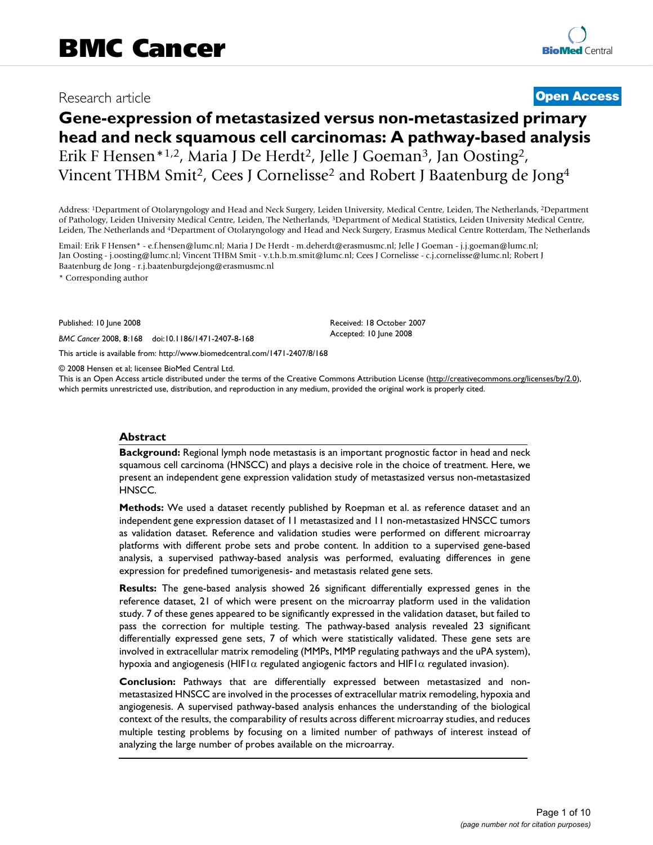## Research article **[Open Access](http://www.biomedcentral.com/info/about/charter/)**

# **Gene-expression of metastasized versus non-metastasized primary head and neck squamous cell carcinomas: A pathway-based analysis** Erik F Hensen\*<sup>1,2</sup>, Maria J De Herdt<sup>2</sup>, Jelle J Goeman<sup>3</sup>, Jan Oosting<sup>2</sup>, Vincent THBM Smit<sup>2</sup>, Cees J Cornelisse<sup>2</sup> and Robert J Baatenburg de Jong<sup>4</sup>

Address: 1Department of Otolaryngology and Head and Neck Surgery, Leiden University, Medical Centre, Leiden, The Netherlands, 2Department of Pathology, Leiden University Medical Centre, Leiden, The Netherlands, 3Department of Medical Statistics, Leiden University Medical Centre, Leiden, The Netherlands and 4Department of Otolaryngology and Head and Neck Surgery, Erasmus Medical Centre Rotterdam, The Netherlands

Email: Erik F Hensen\* - e.f.hensen@lumc.nl; Maria J De Herdt - m.deherdt@erasmusmc.nl; Jelle J Goeman - j.j.goeman@lumc.nl; Jan Oosting - j.oosting@lumc.nl; Vincent THBM Smit - v.t.h.b.m.smit@lumc.nl; Cees J Cornelisse - c.j.cornelisse@lumc.nl; Robert J Baatenburg de Jong - r.j.baatenburgdejong@erasmusmc.nl

\* Corresponding author

Published: 10 June 2008

*BMC Cancer* 2008, **8**:168 doi:10.1186/1471-2407-8-168

[This article is available from: http://www.biomedcentral.com/1471-2407/8/168](http://www.biomedcentral.com/1471-2407/8/168)

© 2008 Hensen et al; licensee BioMed Central Ltd.

This is an Open Access article distributed under the terms of the Creative Commons Attribution License [\(http://creativecommons.org/licenses/by/2.0\)](http://creativecommons.org/licenses/by/2.0), which permits unrestricted use, distribution, and reproduction in any medium, provided the original work is properly cited.

Received: 18 October 2007 Accepted: 10 June 2008

#### **Abstract**

**Background:** Regional lymph node metastasis is an important prognostic factor in head and neck squamous cell carcinoma (HNSCC) and plays a decisive role in the choice of treatment. Here, we present an independent gene expression validation study of metastasized versus non-metastasized HNSCC.

**Methods:** We used a dataset recently published by Roepman et al. as reference dataset and an independent gene expression dataset of 11 metastasized and 11 non-metastasized HNSCC tumors as validation dataset. Reference and validation studies were performed on different microarray platforms with different probe sets and probe content. In addition to a supervised gene-based analysis, a supervised pathway-based analysis was performed, evaluating differences in gene expression for predefined tumorigenesis- and metastasis related gene sets.

**Results:** The gene-based analysis showed 26 significant differentially expressed genes in the reference dataset, 21 of which were present on the microarray platform used in the validation study. 7 of these genes appeared to be significantly expressed in the validation dataset, but failed to pass the correction for multiple testing. The pathway-based analysis revealed 23 significant differentially expressed gene sets, 7 of which were statistically validated. These gene sets are involved in extracellular matrix remodeling (MMPs, MMP regulating pathways and the uPA system), hypoxia and angiogenesis (HIF1 $\alpha$  regulated angiogenic factors and HIF1 $\alpha$  regulated invasion).

**Conclusion:** Pathways that are differentially expressed between metastasized and nonmetastasized HNSCC are involved in the processes of extracellular matrix remodeling, hypoxia and angiogenesis. A supervised pathway-based analysis enhances the understanding of the biological context of the results, the comparability of results across different microarray studies, and reduces multiple testing problems by focusing on a limited number of pathways of interest instead of analyzing the large number of probes available on the microarray.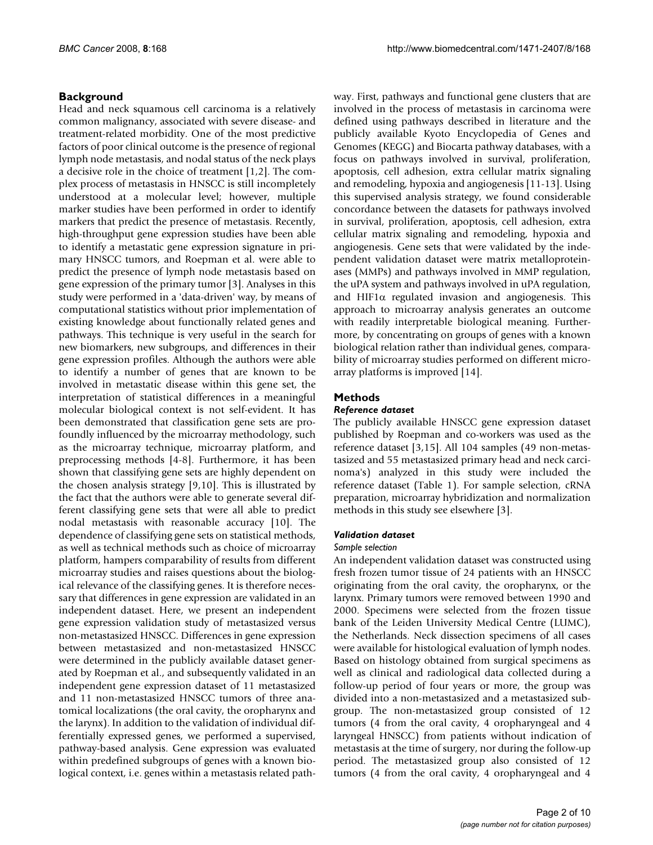#### **Background**

Head and neck squamous cell carcinoma is a relatively common malignancy, associated with severe disease- and treatment-related morbidity. One of the most predictive factors of poor clinical outcome is the presence of regional lymph node metastasis, and nodal status of the neck plays a decisive role in the choice of treatment [1,2]. The complex process of metastasis in HNSCC is still incompletely understood at a molecular level; however, multiple marker studies have been performed in order to identify markers that predict the presence of metastasis. Recently, high-throughput gene expression studies have been able to identify a metastatic gene expression signature in primary HNSCC tumors, and Roepman et al. were able to predict the presence of lymph node metastasis based on gene expression of the primary tumor [3]. Analyses in this study were performed in a 'data-driven' way, by means of computational statistics without prior implementation of existing knowledge about functionally related genes and pathways. This technique is very useful in the search for new biomarkers, new subgroups, and differences in their gene expression profiles. Although the authors were able to identify a number of genes that are known to be involved in metastatic disease within this gene set, the interpretation of statistical differences in a meaningful molecular biological context is not self-evident. It has been demonstrated that classification gene sets are profoundly influenced by the microarray methodology, such as the microarray technique, microarray platform, and preprocessing methods [4-8]. Furthermore, it has been shown that classifying gene sets are highly dependent on the chosen analysis strategy [9,10]. This is illustrated by the fact that the authors were able to generate several different classifying gene sets that were all able to predict nodal metastasis with reasonable accuracy [10]. The dependence of classifying gene sets on statistical methods, as well as technical methods such as choice of microarray platform, hampers comparability of results from different microarray studies and raises questions about the biological relevance of the classifying genes. It is therefore necessary that differences in gene expression are validated in an independent dataset. Here, we present an independent gene expression validation study of metastasized versus non-metastasized HNSCC. Differences in gene expression between metastasized and non-metastasized HNSCC were determined in the publicly available dataset generated by Roepman et al., and subsequently validated in an independent gene expression dataset of 11 metastasized and 11 non-metastasized HNSCC tumors of three anatomical localizations (the oral cavity, the oropharynx and the larynx). In addition to the validation of individual differentially expressed genes, we performed a supervised, pathway-based analysis. Gene expression was evaluated within predefined subgroups of genes with a known biological context, i.e. genes within a metastasis related pathway. First, pathways and functional gene clusters that are involved in the process of metastasis in carcinoma were defined using pathways described in literature and the publicly available Kyoto Encyclopedia of Genes and Genomes (KEGG) and Biocarta pathway databases, with a focus on pathways involved in survival, proliferation, apoptosis, cell adhesion, extra cellular matrix signaling and remodeling, hypoxia and angiogenesis [11-13]. Using this supervised analysis strategy, we found considerable concordance between the datasets for pathways involved in survival, proliferation, apoptosis, cell adhesion, extra cellular matrix signaling and remodeling, hypoxia and angiogenesis. Gene sets that were validated by the independent validation dataset were matrix metalloproteinases (MMPs) and pathways involved in MMP regulation, the uPA system and pathways involved in uPA regulation, and  $HIF1\alpha$  regulated invasion and angiogenesis. This approach to microarray analysis generates an outcome with readily interpretable biological meaning. Furthermore, by concentrating on groups of genes with a known biological relation rather than individual genes, comparability of microarray studies performed on different microarray platforms is improved [14].

#### **Methods**

#### *Reference dataset*

The publicly available HNSCC gene expression dataset published by Roepman and co-workers was used as the reference dataset [3,15]. All 104 samples (49 non-metastasized and 55 metastasized primary head and neck carcinoma's) analyzed in this study were included the reference dataset (Table 1). For sample selection, cRNA preparation, microarray hybridization and normalization methods in this study see elsewhere [3].

#### *Validation dataset*

#### *Sample selection*

An independent validation dataset was constructed using fresh frozen tumor tissue of 24 patients with an HNSCC originating from the oral cavity, the oropharynx, or the larynx. Primary tumors were removed between 1990 and 2000. Specimens were selected from the frozen tissue bank of the Leiden University Medical Centre (LUMC), the Netherlands. Neck dissection specimens of all cases were available for histological evaluation of lymph nodes. Based on histology obtained from surgical specimens as well as clinical and radiological data collected during a follow-up period of four years or more, the group was divided into a non-metastasized and a metastasized subgroup. The non-metastasized group consisted of 12 tumors (4 from the oral cavity, 4 oropharyngeal and 4 laryngeal HNSCC) from patients without indication of metastasis at the time of surgery, nor during the follow-up period. The metastasized group also consisted of 12 tumors (4 from the oral cavity, 4 oropharyngeal and 4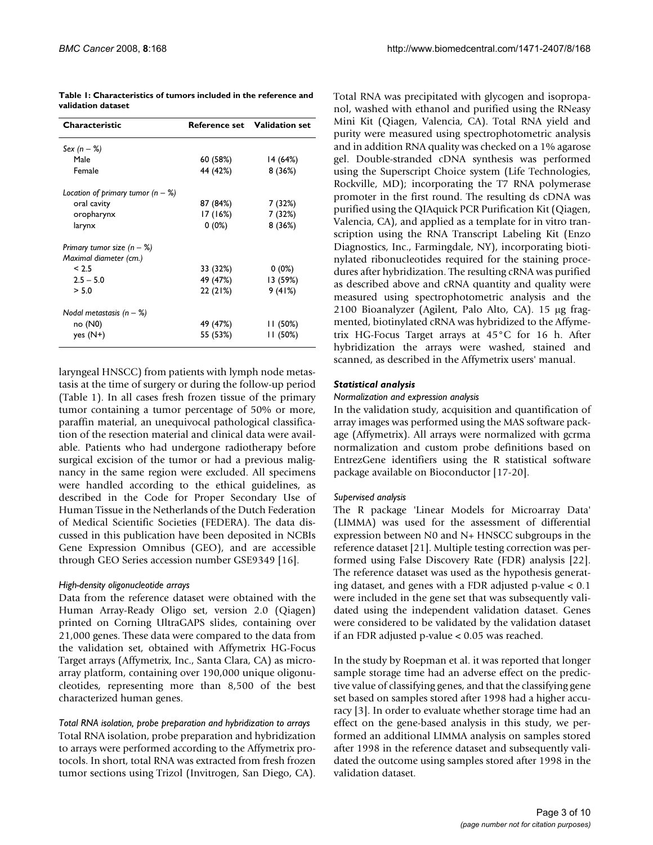| Characteristic                       |          | Reference set Validation set |
|--------------------------------------|----------|------------------------------|
| Sex $(n - %)$                        |          |                              |
| Male                                 | 60 (58%) | 14 (64%)                     |
| Female                               | 44 (42%) | 8(36%)                       |
| Location of primary tumor $(n - \%)$ |          |                              |
| oral cavity                          | 87 (84%) | 7 (32%)                      |
| oropharynx                           | 17 (16%) | 7 (32%)                      |
| larynx                               | $0(0\%)$ | 8(36%)                       |
| Primary tumor size $(n - %$          |          |                              |
| Maximal diameter (cm.)               |          |                              |
| < 2.5                                | 33 (32%) | $0(0\%)$                     |
| $2.5 - 5.0$                          | 49 (47%) | 13 (59%)                     |
| > 5.0                                | 22 (21%) | 9(41%)                       |
| Nodal metastasis $(n - %$            |          |                              |
| no (N0)                              | 49 (47%) | II (50%)                     |
| yes $(N+)$                           | 55 (53%) | 11(50%)                      |

**Table 1: Characteristics of tumors included in the reference and validation dataset**

laryngeal HNSCC) from patients with lymph node metastasis at the time of surgery or during the follow-up period (Table 1). In all cases fresh frozen tissue of the primary tumor containing a tumor percentage of 50% or more, paraffin material, an unequivocal pathological classification of the resection material and clinical data were available. Patients who had undergone radiotherapy before surgical excision of the tumor or had a previous malignancy in the same region were excluded. All specimens were handled according to the ethical guidelines, as described in the Code for Proper Secondary Use of Human Tissue in the Netherlands of the Dutch Federation of Medical Scientific Societies (FEDERA). The data discussed in this publication have been deposited in NCBIs Gene Expression Omnibus (GEO), and are accessible through GEO Series accession number GSE9349 [16].

#### *High-density oligonucleotide arrays*

Data from the reference dataset were obtained with the Human Array-Ready Oligo set, version 2.0 (Qiagen) printed on Corning UltraGAPS slides, containing over 21,000 genes. These data were compared to the data from the validation set, obtained with Affymetrix HG-Focus Target arrays (Affymetrix, Inc., Santa Clara, CA) as microarray platform, containing over 190,000 unique oligonucleotides, representing more than 8,500 of the best characterized human genes.

*Total RNA isolation, probe preparation and hybridization to arrays* Total RNA isolation, probe preparation and hybridization to arrays were performed according to the Affymetrix protocols. In short, total RNA was extracted from fresh frozen tumor sections using Trizol (Invitrogen, San Diego, CA).

Total RNA was precipitated with glycogen and isopropanol, washed with ethanol and purified using the RNeasy Mini Kit (Qiagen, Valencia, CA). Total RNA yield and purity were measured using spectrophotometric analysis and in addition RNA quality was checked on a 1% agarose gel. Double-stranded cDNA synthesis was performed using the Superscript Choice system (Life Technologies, Rockville, MD); incorporating the T7 RNA polymerase promoter in the first round. The resulting ds cDNA was purified using the QIAquick PCR Purification Kit (Qiagen, Valencia, CA), and applied as a template for in vitro transcription using the RNA Transcript Labeling Kit (Enzo Diagnostics, Inc., Farmingdale, NY), incorporating biotinylated ribonucleotides required for the staining procedures after hybridization. The resulting cRNA was purified as described above and cRNA quantity and quality were measured using spectrophotometric analysis and the 2100 Bioanalyzer (Agilent, Palo Alto, CA). 15 μg fragmented, biotinylated cRNA was hybridized to the Affymetrix HG-Focus Target arrays at 45°C for 16 h. After hybridization the arrays were washed, stained and scanned, as described in the Affymetrix users' manual.

#### *Statistical analysis*

#### *Normalization and expression analysis*

In the validation study, acquisition and quantification of array images was performed using the MAS software package (Affymetrix). All arrays were normalized with gcrma normalization and custom probe definitions based on EntrezGene identifiers using the R statistical software package available on Bioconductor [17-20].

#### *Supervised analysis*

The R package 'Linear Models for Microarray Data' (LIMMA) was used for the assessment of differential expression between N0 and N+ HNSCC subgroups in the reference dataset [21]. Multiple testing correction was performed using False Discovery Rate (FDR) analysis [22]. The reference dataset was used as the hypothesis generating dataset, and genes with a FDR adjusted p-value < 0.1 were included in the gene set that was subsequently validated using the independent validation dataset. Genes were considered to be validated by the validation dataset if an FDR adjusted p-value < 0.05 was reached.

In the study by Roepman et al. it was reported that longer sample storage time had an adverse effect on the predictive value of classifying genes, and that the classifying gene set based on samples stored after 1998 had a higher accuracy [3]. In order to evaluate whether storage time had an effect on the gene-based analysis in this study, we performed an additional LIMMA analysis on samples stored after 1998 in the reference dataset and subsequently validated the outcome using samples stored after 1998 in the validation dataset.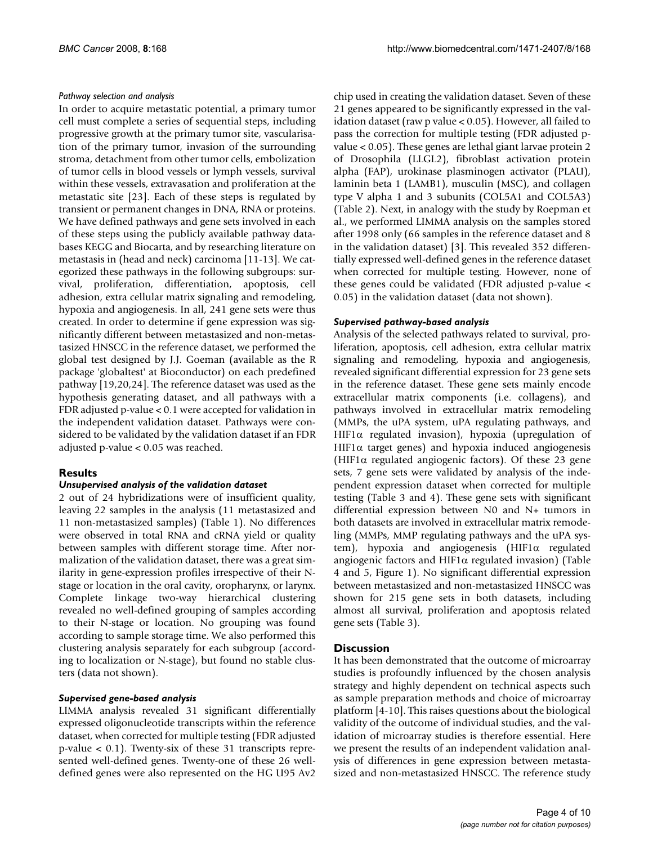#### *Pathway selection and analysis*

In order to acquire metastatic potential, a primary tumor cell must complete a series of sequential steps, including progressive growth at the primary tumor site, vascularisation of the primary tumor, invasion of the surrounding stroma, detachment from other tumor cells, embolization of tumor cells in blood vessels or lymph vessels, survival within these vessels, extravasation and proliferation at the metastatic site [23]. Each of these steps is regulated by transient or permanent changes in DNA, RNA or proteins. We have defined pathways and gene sets involved in each of these steps using the publicly available pathway databases KEGG and Biocarta, and by researching literature on metastasis in (head and neck) carcinoma [11-13]. We categorized these pathways in the following subgroups: survival, proliferation, differentiation, apoptosis, cell adhesion, extra cellular matrix signaling and remodeling, hypoxia and angiogenesis. In all, 241 gene sets were thus created. In order to determine if gene expression was significantly different between metastasized and non-metastasized HNSCC in the reference dataset, we performed the global test designed by J.J. Goeman (available as the R package 'globaltest' at Bioconductor) on each predefined pathway [19,20,24]. The reference dataset was used as the hypothesis generating dataset, and all pathways with a FDR adjusted p-value < 0.1 were accepted for validation in the independent validation dataset. Pathways were considered to be validated by the validation dataset if an FDR adjusted p-value < 0.05 was reached.

### **Results**

#### *Unsupervised analysis of the validation dataset*

2 out of 24 hybridizations were of insufficient quality, leaving 22 samples in the analysis (11 metastasized and 11 non-metastasized samples) (Table 1). No differences were observed in total RNA and cRNA yield or quality between samples with different storage time. After normalization of the validation dataset, there was a great similarity in gene-expression profiles irrespective of their Nstage or location in the oral cavity, oropharynx, or larynx. Complete linkage two-way hierarchical clustering revealed no well-defined grouping of samples according to their N-stage or location. No grouping was found according to sample storage time. We also performed this clustering analysis separately for each subgroup (according to localization or N-stage), but found no stable clusters (data not shown).

#### *Supervised gene-based analysis*

LIMMA analysis revealed 31 significant differentially expressed oligonucleotide transcripts within the reference dataset, when corrected for multiple testing (FDR adjusted p-value < 0.1). Twenty-six of these 31 transcripts represented well-defined genes. Twenty-one of these 26 welldefined genes were also represented on the HG U95 Av2

chip used in creating the validation dataset. Seven of these 21 genes appeared to be significantly expressed in the validation dataset (raw p value < 0.05). However, all failed to pass the correction for multiple testing (FDR adjusted pvalue < 0.05). These genes are lethal giant larvae protein 2 of Drosophila (LLGL2), fibroblast activation protein alpha (FAP), urokinase plasminogen activator (PLAU), laminin beta 1 (LAMB1), musculin (MSC), and collagen type V alpha 1 and 3 subunits (COL5A1 and COL5A3) (Table 2). Next, in analogy with the study by Roepman et al., we performed LIMMA analysis on the samples stored after 1998 only (66 samples in the reference dataset and 8 in the validation dataset) [3]. This revealed 352 differentially expressed well-defined genes in the reference dataset when corrected for multiple testing. However, none of these genes could be validated (FDR adjusted p-value < 0.05) in the validation dataset (data not shown).

#### *Supervised pathway-based analysis*

Analysis of the selected pathways related to survival, proliferation, apoptosis, cell adhesion, extra cellular matrix signaling and remodeling, hypoxia and angiogenesis, revealed significant differential expression for 23 gene sets in the reference dataset. These gene sets mainly encode extracellular matrix components (i.e. collagens), and pathways involved in extracellular matrix remodeling (MMPs, the uPA system, uPA regulating pathways, and HIF1 $\alpha$  regulated invasion), hypoxia (upregulation of HIF1 $\alpha$  target genes) and hypoxia induced angiogenesis (HIF1α regulated angiogenic factors). Of these 23 gene sets, 7 gene sets were validated by analysis of the independent expression dataset when corrected for multiple testing (Table 3 and 4). These gene sets with significant differential expression between N0 and N+ tumors in both datasets are involved in extracellular matrix remodeling (MMPs, MMP regulating pathways and the uPA system), hypoxia and angiogenesis (HIF1α regulated angiogenic factors and  $HIF1\alpha$  regulated invasion) (Table 4 and 5, Figure 1). No significant differential expression between metastasized and non-metastasized HNSCC was shown for 215 gene sets in both datasets, including almost all survival, proliferation and apoptosis related gene sets (Table 3).

#### **Discussion**

It has been demonstrated that the outcome of microarray studies is profoundly influenced by the chosen analysis strategy and highly dependent on technical aspects such as sample preparation methods and choice of microarray platform [4-10]. This raises questions about the biological validity of the outcome of individual studies, and the validation of microarray studies is therefore essential. Here we present the results of an independent validation analysis of differences in gene expression between metastasized and non-metastasized HNSCC. The reference study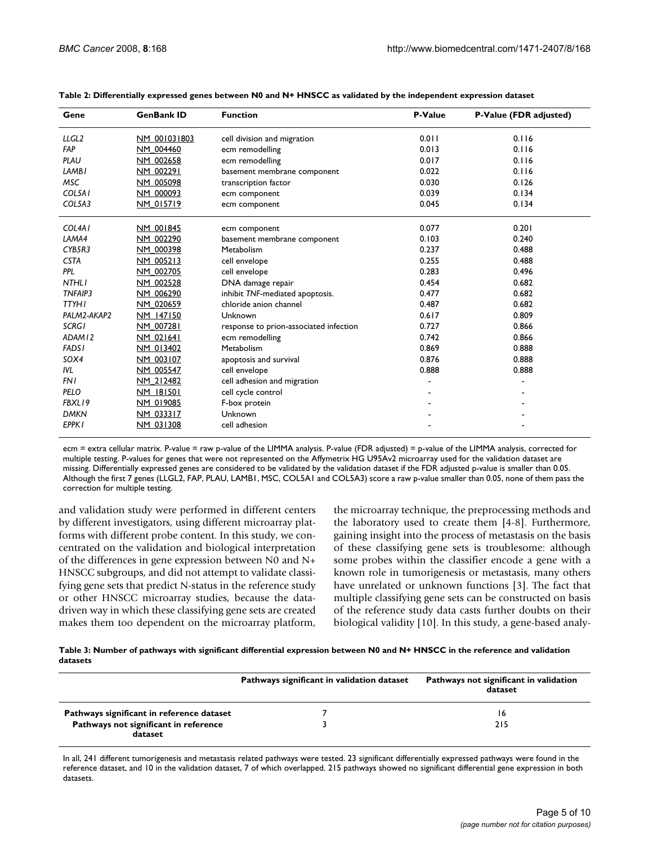| Gene              | <b>GenBank ID</b> | <b>Function</b>                        | P-Value | P-Value (FDR adjusted) |
|-------------------|-------------------|----------------------------------------|---------|------------------------|
| LLGL <sub>2</sub> | NM 001031803      | cell division and migration            | 0.011   | 0.116                  |
| FAP               | NM 004460         | ecm remodelling                        | 0.013   | 0.116                  |
| <b>PLAU</b>       | NM 002658         | ecm remodelling                        | 0.017   | 0.116                  |
| LAMB <sub>I</sub> | NM_002291         | basement membrane component            | 0.022   | 0.116                  |
| MSC               | NM 005098         | transcription factor                   | 0.030   | 0.126                  |
| COL5A1            | NM 000093         | ecm component                          | 0.039   | 0.134                  |
| COL5A3            | NM 015719         | ecm component                          | 0.045   | 0.134                  |
| COL4A1            | NM 001845         | ecm component                          | 0.077   | 0.201                  |
| LAMA4             | NM 002290         | basement membrane component            | 0.103   | 0.240                  |
| CYB5R3            | NM 000398         | Metabolism                             | 0.237   | 0.488                  |
| <b>CSTA</b>       | NM 005213         | cell envelope                          | 0.255   | 0.488                  |
| PPL               | NM 002705         | cell envelope                          | 0.283   | 0.496                  |
| <b>NTHLI</b>      | NM 002528         | DNA damage repair                      | 0.454   | 0.682                  |
| <b>TNFAIP3</b>    | NM 006290         | inhibit TNF-mediated apoptosis.        | 0.477   | 0.682                  |
| <b>TTYHI</b>      | NM 020659         | chloride anion channel                 | 0.487   | 0.682                  |
| PALM2-AKAP2       | NM 147150         | Unknown                                | 0.617   | 0.809                  |
| <b>SCRG1</b>      | NM 007281         | response to prion-associated infection | 0.727   | 0.866                  |
| ADAM12            | NM 021641         | ecm remodelling                        | 0.742   | 0.866                  |
| <b>FADS1</b>      | NM 013402         | Metabolism                             | 0.869   | 0.888                  |
| SOX4              | NM 003107         | apoptosis and survival                 | 0.876   | 0.888                  |
| IVL               | NM 005547         | cell envelope                          | 0.888   | 0.888                  |
| <b>FNI</b>        | NM 212482         | cell adhesion and migration            |         |                        |
| <b>PELO</b>       | <b>NM 181501</b>  | cell cycle control                     |         |                        |
| FBXL19            | NM 019085         | F-box protein                          |         |                        |
| <b>DMKN</b>       | NM 033317         | Unknown                                |         |                        |
| EPPK1             | NM 031308         | cell adhesion                          |         |                        |

#### **Table 2: Differentially expressed genes between N0 and N+ HNSCC as validated by the independent expression dataset**

ecm = extra cellular matrix. P-value = raw p-value of the LIMMA analysis. P-value (FDR adjusted) = p-value of the LIMMA analysis, corrected for multiple testing. P-values for genes that were not represented on the Affymetrix HG U95Av2 microarray used for the validation dataset are missing. Differentially expressed genes are considered to be validated by the validation dataset if the FDR adjusted p-value is smaller than 0.05. Although the first 7 genes (LLGL2, FAP, PLAU, LAMB1, MSC, COL5A1 and COL5A3) score a raw p-value smaller than 0.05, none of them pass the correction for multiple testing.

and validation study were performed in different centers by different investigators, using different microarray platforms with different probe content. In this study, we concentrated on the validation and biological interpretation of the differences in gene expression between N0 and N+ HNSCC subgroups, and did not attempt to validate classifying gene sets that predict N-status in the reference study or other HNSCC microarray studies, because the datadriven way in which these classifying gene sets are created makes them too dependent on the microarray platform,

the microarray technique, the preprocessing methods and the laboratory used to create them [4-8]. Furthermore, gaining insight into the process of metastasis on the basis of these classifying gene sets is troublesome: although some probes within the classifier encode a gene with a known role in tumorigenesis or metastasis, many others have unrelated or unknown functions [3]. The fact that multiple classifying gene sets can be constructed on basis of the reference study data casts further doubts on their biological validity [10]. In this study, a gene-based analy-

**Table 3: Number of pathways with significant differential expression between N0 and N+ HNSCC in the reference and validation datasets**

|                                                  | Pathways significant in validation dataset | Pathways not significant in validation<br>dataset |  |  |
|--------------------------------------------------|--------------------------------------------|---------------------------------------------------|--|--|
| Pathways significant in reference dataset        |                                            | 16                                                |  |  |
| Pathways not significant in reference<br>dataset |                                            | 215                                               |  |  |

In all, 241 different tumorigenesis and metastasis related pathways were tested. 23 significant differentially expressed pathways were found in the reference dataset, and 10 in the validation dataset, 7 of which overlapped. 215 pathways showed no significant differential gene expression in both datasets.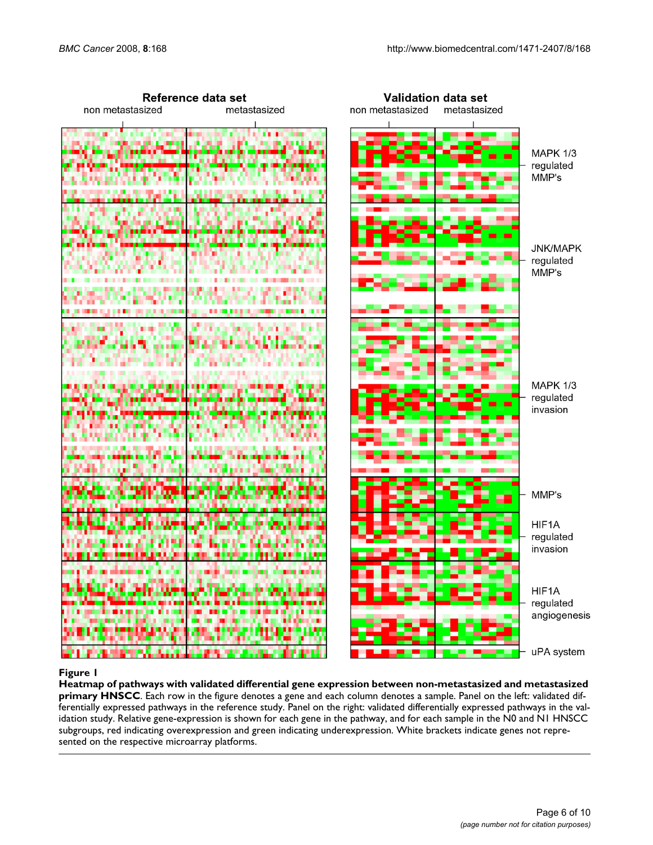

#### Heatmap of pathways with vali **Figure 1** dated differential gene expression between non-metastasized and metastasized primary HNSCC

**Heatmap of pathways with validated differential gene expression between non-metastasized and metastasized primary HNSCC**. Each row in the figure denotes a gene and each column denotes a sample. Panel on the left: validated differentially expressed pathways in the reference study. Panel on the right: validated differentially expressed pathways in the validation study. Relative gene-expression is shown for each gene in the pathway, and for each sample in the N0 and N1 HNSCC subgroups, red indicating overexpression and green indicating underexpression. White brackets indicate genes not represented on the respective microarray platforms.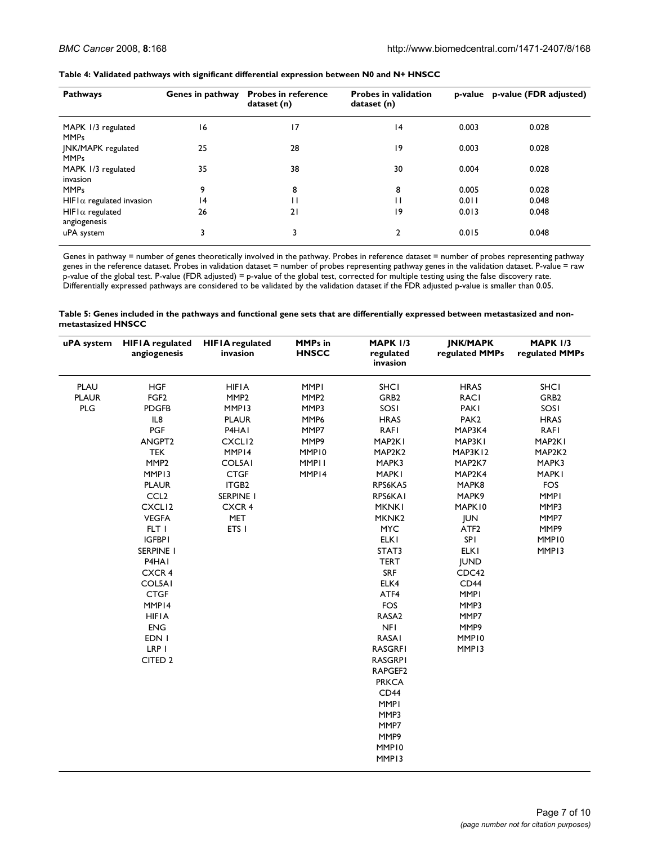|  |  |  |  |  |  | Table 4: Validated pathways with significant differential expression between N0 and N+ HNSCC |
|--|--|--|--|--|--|----------------------------------------------------------------------------------------------|
|--|--|--|--|--|--|----------------------------------------------------------------------------------------------|

| Pathways                                 | Genes in pathway | <b>Probes in reference</b><br>dataset (n) | <b>Probes in validation</b><br>dataset (n) | p-value | p-value (FDR adjusted) |
|------------------------------------------|------------------|-------------------------------------------|--------------------------------------------|---------|------------------------|
| MAPK 1/3 regulated<br><b>MMPs</b>        | 16               | 17                                        | 4                                          | 0.003   | 0.028                  |
| <b>INK/MAPK</b> regulated<br><b>MMPs</b> | 25               | 28                                        | 19                                         | 0.003   | 0.028                  |
| MAPK 1/3 regulated<br>invasion           | 35               | 38                                        | 30                                         | 0.004   | 0.028                  |
| <b>MMPs</b>                              | 9                | 8                                         | 8                                          | 0.005   | 0.028                  |
| $HIFI\alpha$ regulated invasion          | 4                | п                                         | н                                          | 0.011   | 0.048                  |
| $HIFI\alpha$ regulated<br>angiogenesis   | 26               | 21                                        | 19                                         | 0.013   | 0.048                  |
| uPA system                               | 3                | 3                                         | 2                                          | 0.015   | 0.048                  |

Genes in pathway = number of genes theoretically involved in the pathway. Probes in reference dataset = number of probes representing pathway genes in the reference dataset. Probes in validation dataset = number of probes representing pathway genes in the validation dataset. P-value = raw p-value of the global test. P-value (FDR adjusted) = p-value of the global test, corrected for multiple testing using the false discovery rate. Differentially expressed pathways are considered to be validated by the validation dataset if the FDR adjusted p-value is smaller than 0.05.

| Table 5: Genes included in the pathways and functional gene sets that are differentially expressed between metastasized and non- |
|----------------------------------------------------------------------------------------------------------------------------------|
| metastasized HNSCC                                                                                                               |

| PLAU<br><b>HGF</b><br><b>HIFIA</b><br><b>MMPI</b><br><b>SHCI</b><br><b>HRAS</b><br>SHCI<br><b>PLAUR</b><br>FGF <sub>2</sub><br>MMP <sub>2</sub><br>MMP <sub>2</sub><br>GRB2<br><b>RACI</b><br>GRB2<br>PLG<br>MMP13<br>MMP3<br>SOSI<br>SOSI<br><b>PDGFB</b><br><b>PAKI</b><br><b>HRAS</b><br>PAK <sub>2</sub><br>IL8<br><b>PLAUR</b><br>MMP <sub>6</sub><br><b>HRAS</b><br>PGF<br><b>RAFI</b><br>MAP3K4<br><b>RAFI</b><br>P4HAI<br>MMP7<br>ANGPT2<br>CXCLI <sub>2</sub><br>MMP9<br>MAP2KI<br>MAP3K1<br>MAP2KI<br><b>TEK</b><br>MMP14<br>MMP10<br>MAP2K2<br>MAP2K2<br>MAP3K12<br>MMP <sub>2</sub><br>COL5A1<br><b>MMPII</b><br>MAPK3<br>MAPK3<br>MAP2K7<br>MMP13<br><b>CTGF</b><br>MMP14<br><b>MAPKI</b><br>MAP2K4<br><b>MAPKI</b><br><b>PLAUR</b><br>ITGB2<br><b>FOS</b><br>RPS6KA5<br>MAPK8<br>CCL <sub>2</sub><br><b>SERPINE I</b><br>RPS6KAI<br><b>MMPI</b><br>MAPK9<br>CXCLI <sub>2</sub><br>CXCR <sub>4</sub><br><b>MKNKI</b><br>MAPK10<br>MMP3<br><b>VEGFA</b><br><b>MET</b><br>MKNK <sub>2</sub><br>JUN<br>MMP7<br>FLT I<br>ETS I<br><b>MYC</b><br>ATF <sub>2</sub><br>MMP9<br><b>ELKI</b><br><b>SPI</b><br><b>IGFBPI</b><br>MMP10<br><b>ELKI</b><br><b>SERPINE I</b><br>STAT3<br>MMP <sub>13</sub><br>P <sub>4</sub> H <sub>A</sub><br><b>TERT</b><br><b>JUND</b><br><b>SRF</b><br>CXCR <sub>4</sub><br>CDC42<br>ELK4<br>CD44<br>COL5A1<br><b>CTGF</b><br>ATF4<br><b>MMPI</b><br>MMP14<br>FOS<br>MMP3<br><b>HIFIA</b><br>RASA2<br>MMP7<br>ENG<br><b>NFI</b><br>MMP9<br><b>RASAI</b><br>EDN I<br>MMP10<br>LRP I<br><b>RASGRFI</b><br>MMP13<br>CITED 2<br><b>RASGRPI</b><br>RAPGEF2<br><b>PRKCA</b><br>CD44<br><b>MMPI</b><br>MMP3<br>MMP7<br>MMP9<br>MMP10<br>MMP <sub>13</sub> | uPA system | <b>HIFIA</b> regulated<br>angiogenesis | <b>HIFIA</b> regulated<br>invasion | <b>MMPs</b> in<br><b>HNSCC</b> | <b>MAPK 1/3</b><br>regulated<br>invasion | <b>JNK/MAPK</b><br>regulated MMPs | <b>MAPK 1/3</b><br>regulated MMPs |
|---------------------------------------------------------------------------------------------------------------------------------------------------------------------------------------------------------------------------------------------------------------------------------------------------------------------------------------------------------------------------------------------------------------------------------------------------------------------------------------------------------------------------------------------------------------------------------------------------------------------------------------------------------------------------------------------------------------------------------------------------------------------------------------------------------------------------------------------------------------------------------------------------------------------------------------------------------------------------------------------------------------------------------------------------------------------------------------------------------------------------------------------------------------------------------------------------------------------------------------------------------------------------------------------------------------------------------------------------------------------------------------------------------------------------------------------------------------------------------------------------------------------------------------------------------------------------------------------------------------------------------------------------------------------------------------|------------|----------------------------------------|------------------------------------|--------------------------------|------------------------------------------|-----------------------------------|-----------------------------------|
|                                                                                                                                                                                                                                                                                                                                                                                                                                                                                                                                                                                                                                                                                                                                                                                                                                                                                                                                                                                                                                                                                                                                                                                                                                                                                                                                                                                                                                                                                                                                                                                                                                                                                       |            |                                        |                                    |                                |                                          |                                   |                                   |
|                                                                                                                                                                                                                                                                                                                                                                                                                                                                                                                                                                                                                                                                                                                                                                                                                                                                                                                                                                                                                                                                                                                                                                                                                                                                                                                                                                                                                                                                                                                                                                                                                                                                                       |            |                                        |                                    |                                |                                          |                                   |                                   |
|                                                                                                                                                                                                                                                                                                                                                                                                                                                                                                                                                                                                                                                                                                                                                                                                                                                                                                                                                                                                                                                                                                                                                                                                                                                                                                                                                                                                                                                                                                                                                                                                                                                                                       |            |                                        |                                    |                                |                                          |                                   |                                   |
|                                                                                                                                                                                                                                                                                                                                                                                                                                                                                                                                                                                                                                                                                                                                                                                                                                                                                                                                                                                                                                                                                                                                                                                                                                                                                                                                                                                                                                                                                                                                                                                                                                                                                       |            |                                        |                                    |                                |                                          |                                   |                                   |
|                                                                                                                                                                                                                                                                                                                                                                                                                                                                                                                                                                                                                                                                                                                                                                                                                                                                                                                                                                                                                                                                                                                                                                                                                                                                                                                                                                                                                                                                                                                                                                                                                                                                                       |            |                                        |                                    |                                |                                          |                                   |                                   |
|                                                                                                                                                                                                                                                                                                                                                                                                                                                                                                                                                                                                                                                                                                                                                                                                                                                                                                                                                                                                                                                                                                                                                                                                                                                                                                                                                                                                                                                                                                                                                                                                                                                                                       |            |                                        |                                    |                                |                                          |                                   |                                   |
|                                                                                                                                                                                                                                                                                                                                                                                                                                                                                                                                                                                                                                                                                                                                                                                                                                                                                                                                                                                                                                                                                                                                                                                                                                                                                                                                                                                                                                                                                                                                                                                                                                                                                       |            |                                        |                                    |                                |                                          |                                   |                                   |
|                                                                                                                                                                                                                                                                                                                                                                                                                                                                                                                                                                                                                                                                                                                                                                                                                                                                                                                                                                                                                                                                                                                                                                                                                                                                                                                                                                                                                                                                                                                                                                                                                                                                                       |            |                                        |                                    |                                |                                          |                                   |                                   |
|                                                                                                                                                                                                                                                                                                                                                                                                                                                                                                                                                                                                                                                                                                                                                                                                                                                                                                                                                                                                                                                                                                                                                                                                                                                                                                                                                                                                                                                                                                                                                                                                                                                                                       |            |                                        |                                    |                                |                                          |                                   |                                   |
|                                                                                                                                                                                                                                                                                                                                                                                                                                                                                                                                                                                                                                                                                                                                                                                                                                                                                                                                                                                                                                                                                                                                                                                                                                                                                                                                                                                                                                                                                                                                                                                                                                                                                       |            |                                        |                                    |                                |                                          |                                   |                                   |
|                                                                                                                                                                                                                                                                                                                                                                                                                                                                                                                                                                                                                                                                                                                                                                                                                                                                                                                                                                                                                                                                                                                                                                                                                                                                                                                                                                                                                                                                                                                                                                                                                                                                                       |            |                                        |                                    |                                |                                          |                                   |                                   |
|                                                                                                                                                                                                                                                                                                                                                                                                                                                                                                                                                                                                                                                                                                                                                                                                                                                                                                                                                                                                                                                                                                                                                                                                                                                                                                                                                                                                                                                                                                                                                                                                                                                                                       |            |                                        |                                    |                                |                                          |                                   |                                   |
|                                                                                                                                                                                                                                                                                                                                                                                                                                                                                                                                                                                                                                                                                                                                                                                                                                                                                                                                                                                                                                                                                                                                                                                                                                                                                                                                                                                                                                                                                                                                                                                                                                                                                       |            |                                        |                                    |                                |                                          |                                   |                                   |
|                                                                                                                                                                                                                                                                                                                                                                                                                                                                                                                                                                                                                                                                                                                                                                                                                                                                                                                                                                                                                                                                                                                                                                                                                                                                                                                                                                                                                                                                                                                                                                                                                                                                                       |            |                                        |                                    |                                |                                          |                                   |                                   |
|                                                                                                                                                                                                                                                                                                                                                                                                                                                                                                                                                                                                                                                                                                                                                                                                                                                                                                                                                                                                                                                                                                                                                                                                                                                                                                                                                                                                                                                                                                                                                                                                                                                                                       |            |                                        |                                    |                                |                                          |                                   |                                   |
|                                                                                                                                                                                                                                                                                                                                                                                                                                                                                                                                                                                                                                                                                                                                                                                                                                                                                                                                                                                                                                                                                                                                                                                                                                                                                                                                                                                                                                                                                                                                                                                                                                                                                       |            |                                        |                                    |                                |                                          |                                   |                                   |
|                                                                                                                                                                                                                                                                                                                                                                                                                                                                                                                                                                                                                                                                                                                                                                                                                                                                                                                                                                                                                                                                                                                                                                                                                                                                                                                                                                                                                                                                                                                                                                                                                                                                                       |            |                                        |                                    |                                |                                          |                                   |                                   |
|                                                                                                                                                                                                                                                                                                                                                                                                                                                                                                                                                                                                                                                                                                                                                                                                                                                                                                                                                                                                                                                                                                                                                                                                                                                                                                                                                                                                                                                                                                                                                                                                                                                                                       |            |                                        |                                    |                                |                                          |                                   |                                   |
|                                                                                                                                                                                                                                                                                                                                                                                                                                                                                                                                                                                                                                                                                                                                                                                                                                                                                                                                                                                                                                                                                                                                                                                                                                                                                                                                                                                                                                                                                                                                                                                                                                                                                       |            |                                        |                                    |                                |                                          |                                   |                                   |
|                                                                                                                                                                                                                                                                                                                                                                                                                                                                                                                                                                                                                                                                                                                                                                                                                                                                                                                                                                                                                                                                                                                                                                                                                                                                                                                                                                                                                                                                                                                                                                                                                                                                                       |            |                                        |                                    |                                |                                          |                                   |                                   |
|                                                                                                                                                                                                                                                                                                                                                                                                                                                                                                                                                                                                                                                                                                                                                                                                                                                                                                                                                                                                                                                                                                                                                                                                                                                                                                                                                                                                                                                                                                                                                                                                                                                                                       |            |                                        |                                    |                                |                                          |                                   |                                   |
|                                                                                                                                                                                                                                                                                                                                                                                                                                                                                                                                                                                                                                                                                                                                                                                                                                                                                                                                                                                                                                                                                                                                                                                                                                                                                                                                                                                                                                                                                                                                                                                                                                                                                       |            |                                        |                                    |                                |                                          |                                   |                                   |
|                                                                                                                                                                                                                                                                                                                                                                                                                                                                                                                                                                                                                                                                                                                                                                                                                                                                                                                                                                                                                                                                                                                                                                                                                                                                                                                                                                                                                                                                                                                                                                                                                                                                                       |            |                                        |                                    |                                |                                          |                                   |                                   |
|                                                                                                                                                                                                                                                                                                                                                                                                                                                                                                                                                                                                                                                                                                                                                                                                                                                                                                                                                                                                                                                                                                                                                                                                                                                                                                                                                                                                                                                                                                                                                                                                                                                                                       |            |                                        |                                    |                                |                                          |                                   |                                   |
|                                                                                                                                                                                                                                                                                                                                                                                                                                                                                                                                                                                                                                                                                                                                                                                                                                                                                                                                                                                                                                                                                                                                                                                                                                                                                                                                                                                                                                                                                                                                                                                                                                                                                       |            |                                        |                                    |                                |                                          |                                   |                                   |
|                                                                                                                                                                                                                                                                                                                                                                                                                                                                                                                                                                                                                                                                                                                                                                                                                                                                                                                                                                                                                                                                                                                                                                                                                                                                                                                                                                                                                                                                                                                                                                                                                                                                                       |            |                                        |                                    |                                |                                          |                                   |                                   |
|                                                                                                                                                                                                                                                                                                                                                                                                                                                                                                                                                                                                                                                                                                                                                                                                                                                                                                                                                                                                                                                                                                                                                                                                                                                                                                                                                                                                                                                                                                                                                                                                                                                                                       |            |                                        |                                    |                                |                                          |                                   |                                   |
|                                                                                                                                                                                                                                                                                                                                                                                                                                                                                                                                                                                                                                                                                                                                                                                                                                                                                                                                                                                                                                                                                                                                                                                                                                                                                                                                                                                                                                                                                                                                                                                                                                                                                       |            |                                        |                                    |                                |                                          |                                   |                                   |
|                                                                                                                                                                                                                                                                                                                                                                                                                                                                                                                                                                                                                                                                                                                                                                                                                                                                                                                                                                                                                                                                                                                                                                                                                                                                                                                                                                                                                                                                                                                                                                                                                                                                                       |            |                                        |                                    |                                |                                          |                                   |                                   |
|                                                                                                                                                                                                                                                                                                                                                                                                                                                                                                                                                                                                                                                                                                                                                                                                                                                                                                                                                                                                                                                                                                                                                                                                                                                                                                                                                                                                                                                                                                                                                                                                                                                                                       |            |                                        |                                    |                                |                                          |                                   |                                   |
|                                                                                                                                                                                                                                                                                                                                                                                                                                                                                                                                                                                                                                                                                                                                                                                                                                                                                                                                                                                                                                                                                                                                                                                                                                                                                                                                                                                                                                                                                                                                                                                                                                                                                       |            |                                        |                                    |                                |                                          |                                   |                                   |
|                                                                                                                                                                                                                                                                                                                                                                                                                                                                                                                                                                                                                                                                                                                                                                                                                                                                                                                                                                                                                                                                                                                                                                                                                                                                                                                                                                                                                                                                                                                                                                                                                                                                                       |            |                                        |                                    |                                |                                          |                                   |                                   |
|                                                                                                                                                                                                                                                                                                                                                                                                                                                                                                                                                                                                                                                                                                                                                                                                                                                                                                                                                                                                                                                                                                                                                                                                                                                                                                                                                                                                                                                                                                                                                                                                                                                                                       |            |                                        |                                    |                                |                                          |                                   |                                   |
|                                                                                                                                                                                                                                                                                                                                                                                                                                                                                                                                                                                                                                                                                                                                                                                                                                                                                                                                                                                                                                                                                                                                                                                                                                                                                                                                                                                                                                                                                                                                                                                                                                                                                       |            |                                        |                                    |                                |                                          |                                   |                                   |
|                                                                                                                                                                                                                                                                                                                                                                                                                                                                                                                                                                                                                                                                                                                                                                                                                                                                                                                                                                                                                                                                                                                                                                                                                                                                                                                                                                                                                                                                                                                                                                                                                                                                                       |            |                                        |                                    |                                |                                          |                                   |                                   |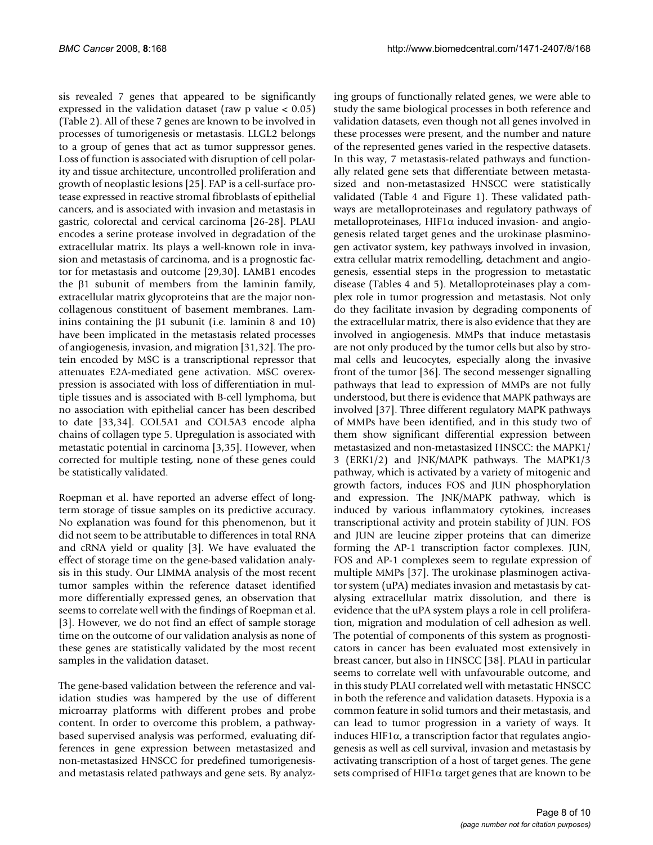sis revealed 7 genes that appeared to be significantly expressed in the validation dataset (raw p value  $< 0.05$ ) (Table 2). All of these 7 genes are known to be involved in processes of tumorigenesis or metastasis. LLGL2 belongs to a group of genes that act as tumor suppressor genes. Loss of function is associated with disruption of cell polarity and tissue architecture, uncontrolled proliferation and growth of neoplastic lesions [25]. FAP is a cell-surface protease expressed in reactive stromal fibroblasts of epithelial cancers, and is associated with invasion and metastasis in gastric, colorectal and cervical carcinoma [26-28]. PLAU encodes a serine protease involved in degradation of the extracellular matrix. Its plays a well-known role in invasion and metastasis of carcinoma, and is a prognostic factor for metastasis and outcome [29,30]. LAMB1 encodes the β1 subunit of members from the laminin family, extracellular matrix glycoproteins that are the major noncollagenous constituent of basement membranes. Laminins containing the  $β1$  subunit (i.e. laminin 8 and 10) have been implicated in the metastasis related processes of angiogenesis, invasion, and migration [31,32]. The protein encoded by MSC is a transcriptional repressor that attenuates E2A-mediated gene activation. MSC overexpression is associated with loss of differentiation in multiple tissues and is associated with B-cell lymphoma, but no association with epithelial cancer has been described to date [33,34]. COL5A1 and COL5A3 encode alpha chains of collagen type 5. Upregulation is associated with metastatic potential in carcinoma [3,35]. However, when corrected for multiple testing, none of these genes could be statistically validated.

Roepman et al. have reported an adverse effect of longterm storage of tissue samples on its predictive accuracy. No explanation was found for this phenomenon, but it did not seem to be attributable to differences in total RNA and cRNA yield or quality [3]. We have evaluated the effect of storage time on the gene-based validation analysis in this study. Our LIMMA analysis of the most recent tumor samples within the reference dataset identified more differentially expressed genes, an observation that seems to correlate well with the findings of Roepman et al. [3]. However, we do not find an effect of sample storage time on the outcome of our validation analysis as none of these genes are statistically validated by the most recent samples in the validation dataset.

The gene-based validation between the reference and validation studies was hampered by the use of different microarray platforms with different probes and probe content. In order to overcome this problem, a pathwaybased supervised analysis was performed, evaluating differences in gene expression between metastasized and non-metastasized HNSCC for predefined tumorigenesisand metastasis related pathways and gene sets. By analyzing groups of functionally related genes, we were able to study the same biological processes in both reference and validation datasets, even though not all genes involved in these processes were present, and the number and nature of the represented genes varied in the respective datasets. In this way, 7 metastasis-related pathways and functionally related gene sets that differentiate between metastasized and non-metastasized HNSCC were statistically validated (Table 4 and Figure 1). These validated pathways are metalloproteinases and regulatory pathways of metalloproteinases, HIF1 $\alpha$  induced invasion- and angiogenesis related target genes and the urokinase plasminogen activator system, key pathways involved in invasion, extra cellular matrix remodelling, detachment and angiogenesis, essential steps in the progression to metastatic disease (Tables 4 and 5). Metalloproteinases play a complex role in tumor progression and metastasis. Not only do they facilitate invasion by degrading components of the extracellular matrix, there is also evidence that they are involved in angiogenesis. MMPs that induce metastasis are not only produced by the tumor cells but also by stromal cells and leucocytes, especially along the invasive front of the tumor [36]. The second messenger signalling pathways that lead to expression of MMPs are not fully understood, but there is evidence that MAPK pathways are involved [37]. Three different regulatory MAPK pathways of MMPs have been identified, and in this study two of them show significant differential expression between metastasized and non-metastasized HNSCC: the MAPK1/ 3 (ERK1/2) and JNK/MAPK pathways. The MAPK1/3 pathway, which is activated by a variety of mitogenic and growth factors, induces FOS and JUN phosphorylation and expression. The JNK/MAPK pathway, which is induced by various inflammatory cytokines, increases transcriptional activity and protein stability of JUN. FOS and JUN are leucine zipper proteins that can dimerize forming the AP-1 transcription factor complexes. JUN, FOS and AP-1 complexes seem to regulate expression of multiple MMPs [37]. The urokinase plasminogen activator system (uPA) mediates invasion and metastasis by catalysing extracellular matrix dissolution, and there is evidence that the uPA system plays a role in cell proliferation, migration and modulation of cell adhesion as well. The potential of components of this system as prognosticators in cancer has been evaluated most extensively in breast cancer, but also in HNSCC [38]. PLAU in particular seems to correlate well with unfavourable outcome, and in this study PLAU correlated well with metastatic HNSCC in both the reference and validation datasets. Hypoxia is a common feature in solid tumors and their metastasis, and can lead to tumor progression in a variety of ways. It induces  $HIF1\alpha$ , a transcription factor that regulates angiogenesis as well as cell survival, invasion and metastasis by activating transcription of a host of target genes. The gene sets comprised of HIF1 $\alpha$  target genes that are known to be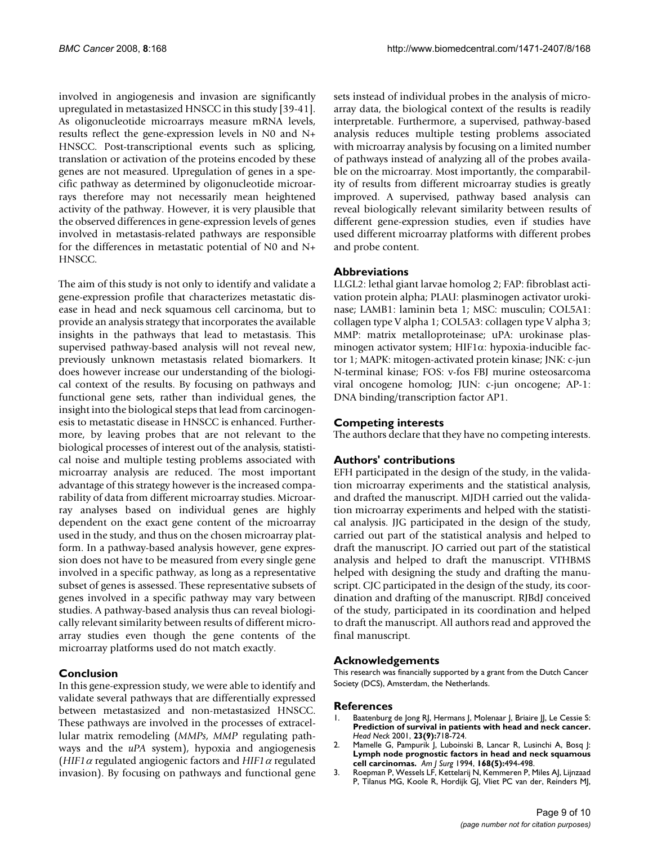involved in angiogenesis and invasion are significantly upregulated in metastasized HNSCC in this study [39-41]. As oligonucleotide microarrays measure mRNA levels, results reflect the gene-expression levels in N0 and N+ HNSCC. Post-transcriptional events such as splicing, translation or activation of the proteins encoded by these genes are not measured. Upregulation of genes in a specific pathway as determined by oligonucleotide microarrays therefore may not necessarily mean heightened activity of the pathway. However, it is very plausible that the observed differences in gene-expression levels of genes involved in metastasis-related pathways are responsible for the differences in metastatic potential of N0 and N+ HNSCC.

The aim of this study is not only to identify and validate a gene-expression profile that characterizes metastatic disease in head and neck squamous cell carcinoma, but to provide an analysis strategy that incorporates the available insights in the pathways that lead to metastasis. This supervised pathway-based analysis will not reveal new, previously unknown metastasis related biomarkers. It does however increase our understanding of the biological context of the results. By focusing on pathways and functional gene sets, rather than individual genes, the insight into the biological steps that lead from carcinogenesis to metastatic disease in HNSCC is enhanced. Furthermore, by leaving probes that are not relevant to the biological processes of interest out of the analysis, statistical noise and multiple testing problems associated with microarray analysis are reduced. The most important advantage of this strategy however is the increased comparability of data from different microarray studies. Microarray analyses based on individual genes are highly dependent on the exact gene content of the microarray used in the study, and thus on the chosen microarray platform. In a pathway-based analysis however, gene expression does not have to be measured from every single gene involved in a specific pathway, as long as a representative subset of genes is assessed. These representative subsets of genes involved in a specific pathway may vary between studies. A pathway-based analysis thus can reveal biologically relevant similarity between results of different microarray studies even though the gene contents of the microarray platforms used do not match exactly.

#### **Conclusion**

In this gene-expression study, we were able to identify and validate several pathways that are differentially expressed between metastasized and non-metastasized HNSCC. These pathways are involved in the processes of extracellular matrix remodeling (*MMPs*, *MMP* regulating pathways and the *uPA* system), hypoxia and angiogenesis (*HIF1*<sup>α</sup> regulated angiogenic factors and *HIF1*<sup>α</sup> regulated invasion). By focusing on pathways and functional gene sets instead of individual probes in the analysis of microarray data, the biological context of the results is readily interpretable. Furthermore, a supervised, pathway-based analysis reduces multiple testing problems associated with microarray analysis by focusing on a limited number of pathways instead of analyzing all of the probes available on the microarray. Most importantly, the comparability of results from different microarray studies is greatly improved. A supervised, pathway based analysis can reveal biologically relevant similarity between results of different gene-expression studies, even if studies have used different microarray platforms with different probes and probe content.

#### **Abbreviations**

LLGL2: lethal giant larvae homolog 2; FAP: fibroblast activation protein alpha; PLAU: plasminogen activator urokinase; LAMB1: laminin beta 1; MSC: musculin; COL5A1: collagen type V alpha 1; COL5A3: collagen type V alpha 3; MMP: matrix metalloproteinase; uPA: urokinase plasminogen activator system; HIF1α: hypoxia-inducible factor 1; MAPK: mitogen-activated protein kinase; JNK: c-jun N-terminal kinase; FOS: v-fos FBJ murine osteosarcoma viral oncogene homolog; JUN: c-jun oncogene; AP-1: DNA binding/transcription factor AP1.

#### **Competing interests**

The authors declare that they have no competing interests.

#### **Authors' contributions**

EFH participated in the design of the study, in the validation microarray experiments and the statistical analysis, and drafted the manuscript. MJDH carried out the validation microarray experiments and helped with the statistical analysis. JJG participated in the design of the study, carried out part of the statistical analysis and helped to draft the manuscript. JO carried out part of the statistical analysis and helped to draft the manuscript. VTHBMS helped with designing the study and drafting the manuscript. CJC participated in the design of the study, its coordination and drafting of the manuscript. RJBdJ conceived of the study, participated in its coordination and helped to draft the manuscript. All authors read and approved the final manuscript.

#### **Acknowledgements**

This research was financially supported by a grant from the Dutch Cancer Society (DCS), Amsterdam, the Netherlands.

#### **References**

- Baatenburg de Jong RJ, Hermans J, Molenaar J, Briaire JJ, Le Cessie S: **[Prediction of survival in patients with head and neck cancer.](http://www.ncbi.nlm.nih.gov/entrez/query.fcgi?cmd=Retrieve&db=PubMed&dopt=Abstract&list_uids=11505480)** *Head Neck* 2001, **23(9):**718-724.
- 2. Mamelle G, Pampurik J, Luboinski B, Lancar R, Lusinchi A, Bosq J: **[Lymph node prognostic factors in head and neck squamous](http://www.ncbi.nlm.nih.gov/entrez/query.fcgi?cmd=Retrieve&db=PubMed&dopt=Abstract&list_uids=7977983) [cell carcinomas.](http://www.ncbi.nlm.nih.gov/entrez/query.fcgi?cmd=Retrieve&db=PubMed&dopt=Abstract&list_uids=7977983)** *Am J Surg* 1994, **168(5):**494-498.
- 3. Roepman P, Wessels LF, Kettelarij N, Kemmeren P, Miles AJ, Lijnzaad P, Tilanus MG, Koole R, Hordijk GJ, Vliet PC van der, Reinders MJ,